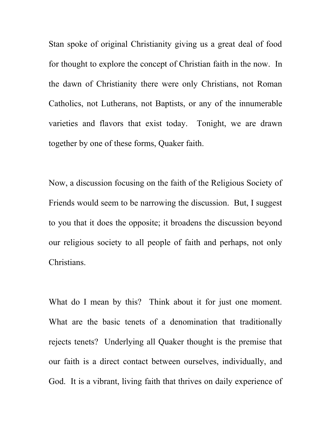Stan spoke of original Christianity giving us a great deal of food for thought to explore the concept of Christian faith in the now. In the dawn of Christianity there were only Christians, not Roman Catholics, not Lutherans, not Baptists, or any of the innumerable varieties and flavors that exist today. Tonight, we are drawn together by one of these forms, Quaker faith.

Now, a discussion focusing on the faith of the Religious Society of Friends would seem to be narrowing the discussion. But, I suggest to you that it does the opposite; it broadens the discussion beyond our religious society to all people of faith and perhaps, not only Christians.

What do I mean by this? Think about it for just one moment. What are the basic tenets of a denomination that traditionally rejects tenets? Underlying all Quaker thought is the premise that our faith is a direct contact between ourselves, individually, and God. It is a vibrant, living faith that thrives on daily experience of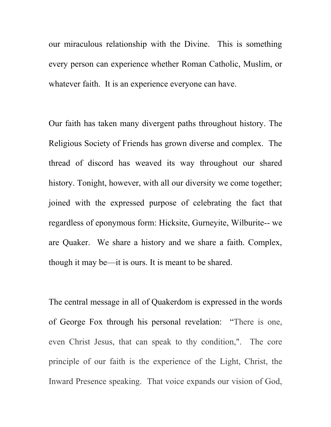our miraculous relationship with the Divine. This is something every person can experience whether Roman Catholic, Muslim, or whatever faith. It is an experience everyone can have.

Our faith has taken many divergent paths throughout history. The Religious Society of Friends has grown diverse and complex. The thread of discord has weaved its way throughout our shared history. Tonight, however, with all our diversity we come together; joined with the expressed purpose of celebrating the fact that regardless of eponymous form: Hicksite, Gurneyite, Wilburite-- we are Quaker. We share a history and we share a faith. Complex, though it may be—it is ours. It is meant to be shared.

The central message in all of Quakerdom is expressed in the words of George Fox through his personal revelation: "There is one, even Christ Jesus, that can speak to thy condition,". The core principle of our faith is the experience of the Light, Christ, the Inward Presence speaking. That voice expands our vision of God,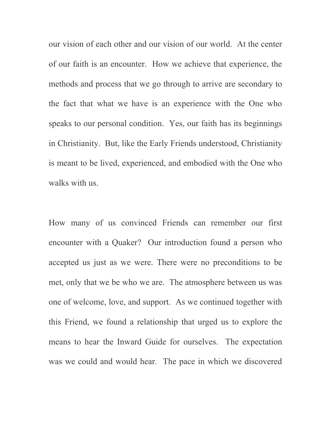our vision of each other and our vision of our world. At the center of our faith is an encounter. How we achieve that experience, the methods and process that we go through to arrive are secondary to the fact that what we have is an experience with the One who speaks to our personal condition. Yes, our faith has its beginnings in Christianity. But, like the Early Friends understood, Christianity is meant to be lived, experienced, and embodied with the One who walks with us.

How many of us convinced Friends can remember our first encounter with a Quaker? Our introduction found a person who accepted us just as we were. There were no preconditions to be met, only that we be who we are. The atmosphere between us was one of welcome, love, and support. As we continued together with this Friend, we found a relationship that urged us to explore the means to hear the Inward Guide for ourselves. The expectation was we could and would hear. The pace in which we discovered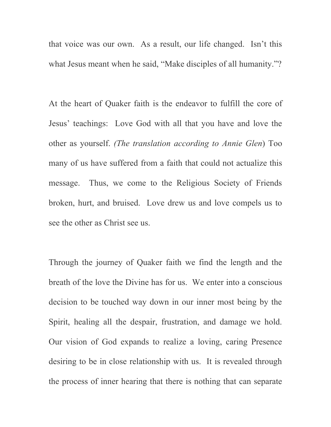that voice was our own. As a result, our life changed. Isn't this what Jesus meant when he said, "Make disciples of all humanity."?

At the heart of Quaker faith is the endeavor to fulfill the core of Jesus' teachings: Love God with all that you have and love the other as yourself. *(The translation according to Annie Glen*) Too many of us have suffered from a faith that could not actualize this message. Thus, we come to the Religious Society of Friends broken, hurt, and bruised. Love drew us and love compels us to see the other as Christ see us.

Through the journey of Quaker faith we find the length and the breath of the love the Divine has for us. We enter into a conscious decision to be touched way down in our inner most being by the Spirit, healing all the despair, frustration, and damage we hold. Our vision of God expands to realize a loving, caring Presence desiring to be in close relationship with us. It is revealed through the process of inner hearing that there is nothing that can separate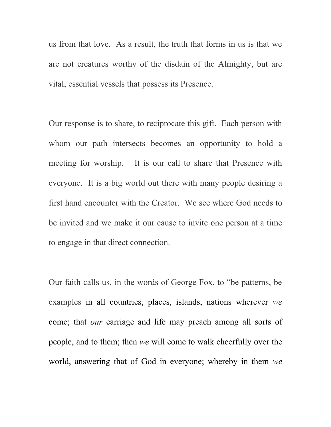us from that love. As a result, the truth that forms in us is that we are not creatures worthy of the disdain of the Almighty, but are vital, essential vessels that possess its Presence.

Our response is to share, to reciprocate this gift. Each person with whom our path intersects becomes an opportunity to hold a meeting for worship. It is our call to share that Presence with everyone. It is a big world out there with many people desiring a first hand encounter with the Creator. We see where God needs to be invited and we make it our cause to invite one person at a time to engage in that direct connection.

Our faith calls us, in the words of George Fox, to "be patterns, be examples in all countries, places, islands, nations wherever *we* come; that *our* carriage and life may preach among all sorts of people, and to them; then *we* will come to walk cheerfully over the world, answering that of God in everyone; whereby in them *we*